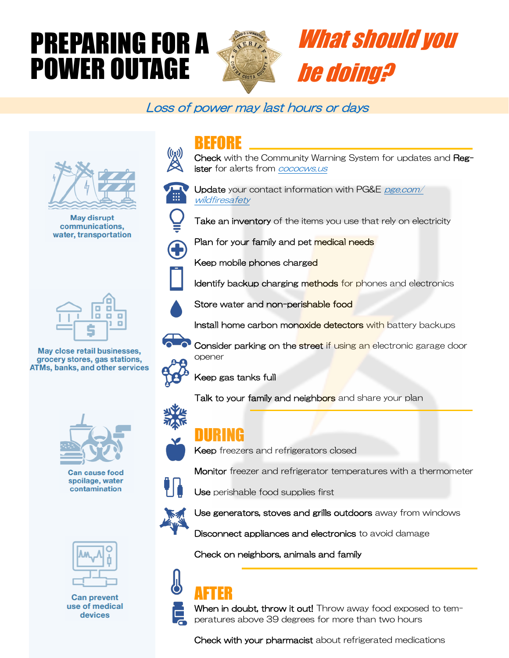# PREPARING FOR A POWER OUTAGE



# What should you be doing?

### Loss of power may last hours or days



**May disrupt** communications, water, transportation



May close retail businesses, grocery stores, gas stations, **ATMs, banks, and other services** 



**Can cause food** spoilage, water contamination



**Can prevent** use of medical devices

## BEFORE

Check with the Community Warning System for updates and Register for alerts from **cococws**.us



Update your contact information with PG&E pge.com/ wildfiresafety

Take an inventory of the items you use that rely on electricity



Plan for your family and pet medical needs





Install home carbon monoxide detectors with battery backups

Identify backup charging methods for phones and electronics



Consider parking on the street if using an electronic garage door opener

Keep gas tanks full

Talk to your family and neighbors and share your plan





### DURING

Keep freezers and refrigerators closed



Use perishable food supplies first



Use generators, stoves and grills outdoors away from windows

Monitor freezer and refrigerator temperatures with a thermometer

Disconnect appliances and electronics to avoid damage

Check on neighbors, animals and family

## AFTER



When in doubt, throw it out! Throw away food exposed to temperatures above 39 degrees for more than two hours

Check with your pharmacist about refrigerated medications